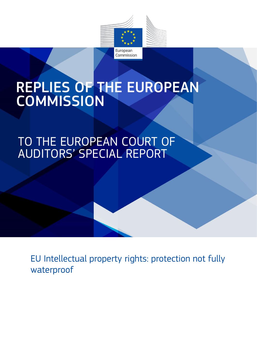

# REPLIES OF THE EUROPEAN **COMMISSION**

TO THE EUROPEAN COURT OF AUDITORS' SPECIAL REPORT

EU Intellectual property rights: protection not fully waterproof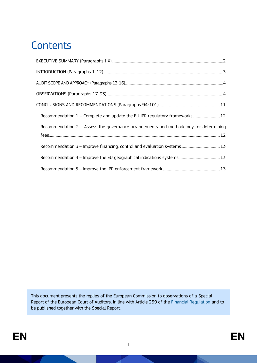# **Contents**

| Recommendation 1 - Complete and update the EU IPR regulatory frameworks 12            |  |
|---------------------------------------------------------------------------------------|--|
| Recommendation 2 - Assess the governance arrangements and methodology for determining |  |
|                                                                                       |  |
|                                                                                       |  |
|                                                                                       |  |
|                                                                                       |  |

This document presents the replies of the European Commission to observations of a Special Report of the European Court of Auditors, in line with Article 259 of the [Financial Regulation](https://op.europa.eu/en/publication-detail/-/publication/e9488da5-d66f-11e8-9424-01aa75ed71a1/language-en/format-PDF/source-86606884) and to be published together with the Special Report.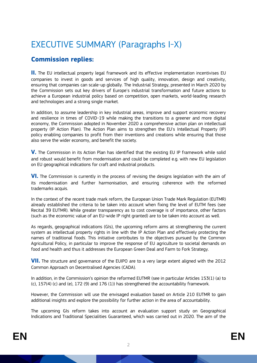# <span id="page-2-0"></span>EXECUTIVE SUMMARY (Paragraphs I-X)

### **Commission replies:**

**II.** The EU intellectual property legal framework and its effective implementation incentivises EU companies to invest in goods and services of high quality, innovation, design and creativity, ensuring that companies can scale-up globally. The Industrial Strategy, presented in March 2020 by the Commission sets out key drivers of Europe's industrial transformation and future actions to achieve a European industrial policy based on competition, open markets, world-leading research and technologies and a strong single market.

In addition, to assume leadership in key industrial areas, improve and support economic recovery and resilience in times of COVID-19 while making the transitions to a greener and more digital economy, the Commission adopted in November 2020 a comprehensive action plan on intellectual property (IP Action Plan). The Action Plan aims to strengthen the EU's Intellectual Property (IP) policy enabling companies to profit from their inventions and creations while ensuring that those also serve the wider economy, and benefit the society.

**V.** The Commission in its Action Plan has identified that the existing EU IP framework while solid and robust would benefit from modernisation and could be completed e.g. with new EU legislation on EU geographical indications for craft and industrial products.

**VI.** The Commission is currently in the process of revising the designs legislation with the aim of its modernisation and further harmonisation, and ensuring coherence with the reformed trademarks acquis.

In the context of the recent trade mark reform, the European Union Trade Mark Regulation (EUTMR) already established the criteria to be taken into account when fixing the level of EUTM fees (see Recital 39 EUTMR). While greater transparency as to cost coverage is of importance, other factors (such as the economic value of an EU-wide IP right granted) are to be taken into account as well.

As regards, geographical indications (GIs), the upcoming reform aims at strengthening the current system as intellectual property rights in line with the [IP Action Plan](https://ec.europa.eu/info/law/better-regulation/have-your-say/initiatives/12510-Intellectual-Property-Action-Plan) and effectively protecting the names of traditional foods. This initiative contributes to the objectives pursued by the Common Agricultural Policy, in particular to improve the response of EU agriculture to societal demands on food and health and thus it addresses the [European Green Deal](https://ec.europa.eu/info/strategy/priorities-2019-2024/european-green-deal_en) and [Farm to Fork Strategy.](https://ec.europa.eu/info/strategy/priorities-2019-2024/european-green-deal/actions-being-taken-eu/farm-fork_en) 

**VII.** The structure and governance of the EUIPO are to a very large extent aligned with the 2012 Common Approach on Decentralised Agencies (CADA).

In addition, in the Commission's opinion the reformed EUTMR (see in particular Articles 153(1) (a) to (c), 157(4) (c) and (e), 172 (9) and 176 (1)) has strengthened the accountability framework.

However, the Commission will use the envisaged evaluation based on Article 210 EUTMR to gain additional insights and explore the possibility for further action in the area of accountability.

The upcoming GIs reform takes into account an [evaluation support](https://ec.europa.eu/info/food-farming-fisheries/key-policies/common-agricultural-policy/cmef/products-and-markets/gis-and-tsg-protected-eu_en) study on Geographical Indications and Traditional Specialities Guaranteed, which was carried out in 2020. The aim of the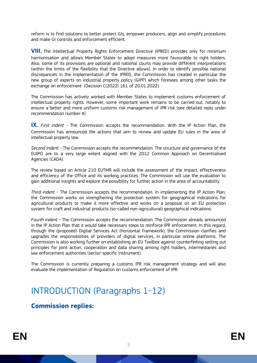reform is to find solutions to better protect GIs, empower producers, align and simplify procedures and make GI controls and enforcement efficient.

**VIII.** The Intellectual Property Rights Enforcement Directive (IPRED) provides only for minimum harmonisation and allows Member States to adopt measures more favourable to right holders. Also, some of its provisions are optional and national courts may provide different interpretations (within the limits of the flexibility that the Directive allows). In order to identify possible national discrepancies in the implementation of the IPRED, the Commission has created in particular the new group of experts on industrial property policy (GIPP) which foresees among other tasks the exchange on enforcement (Decision C(2022) 161 of 20.01.2022).

The Commission has actively worked with Member States to implement customs enforcement of intellectual property rights. However, some important work remains to be carried out, notably to ensure a better and more uniform customs risk management of IPR risk (see detailed reply under recommendation number 4).

**IX.** *First indent* - The Commission accepts the recommendation. With the IP Action Plan, the Commission has announced the actions that aim to review and update EU rules in the area of intellectual property law.

*Second indent* - The Commission accepts the recommendation. The structure and governance of the EUIPO are to a very large extent aligned with the 2012 Common Approach on Decentralised Agencies (CADA).

The review based on Article 210 EUTMR will include the assessment of the impact, effectiveness and efficiency of the Office and its working practices. The Commission will use the evaluation to gain additional insights and explore the possibility for further action in the area of accountability.

*Third indent* - The Commission accepts the recommendation. In implementing the IP Action Plan, the Commission works on strengthening the protection system for geographical indications for agricultural products to make it more effective and works on a proposal on an EU protection system for craft and industrial products (so-called non-agricultural) geographical indications.

*Fourth indent* - The Commission accepts the recommendation. The Commission already announced in the IP Action Plan that it would take necessary steps to reinforce IPR enforcement. In this regard, through the (proposed) Digital Services Act (horizontal framework), the Commission clarifies and upgrades the responsibilities of providers of digital services, in particular online platforms. The Commission is also working further on establishing an EU Toolbox against counterfeiting setting out principles for joint action, cooperation and data sharing among right holders, intermediaries and law enforcement authorities (sector-specific instrument).

The Commission is currently preparing a customs IPR risk management strategy and will also evaluate the implementation of Regulation on customs enforcement of IPR.

# <span id="page-3-0"></span>INTRODUCTION (Paragraphs 1-12)

#### **Commission replies:**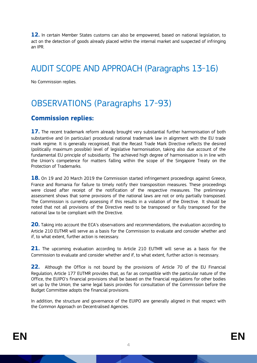**12.** In certain Member States customs can also be empowered, based on national legislation, to act on the detection of goods already placed within the internal market and suspected of infringing an IPR.

# <span id="page-4-0"></span>AUDIT SCOPE AND APPROACH (Paragraphs 13-16)

No Commission replies.

# <span id="page-4-1"></span>OBSERVATIONS (Paragraphs 17-93)

#### **Commission replies:**

**17.** The recent trademark reform already brought very substantial further harmonisation of both substantive and (in particular) procedural national trademark law in alignment with the EU trade mark regime. It is generally recognised, that the Recast Trade Mark Directive reflects the desired (politically maximum possible) level of legislative harmonisation, taking also due account of the fundamental EU principle of subsidiarity. The achieved high degree of harmonisation is in line with the Union's competence for matters falling within the scope of the Singapore Treaty on the Protection of Trademarks.

**18.** On 19 and 20 March 2019 the Commission started infringement proceedings against Greece, France and Romania for failure to timely notify their transposition measures. These proceedings were closed after receipt of the notification of the respective measures. The preliminary assessment shows that some provisions of the national laws are not or only partially transposed. The Commission is currently assessing if this results in a violation of the Directive. It should be noted that not all provisions of the Directive need to be transposed or fully transposed for the national law to be compliant with the Directive.

**20.** Taking into account the ECA's observations and recommendations, the evaluation according to Article 210 EUTMR will serve as a basis for the Commission to evaluate and consider whether and if, to what extent, further action is necessary.

**21.** The upcoming evaluation according to Article 210 EUTMR will serve as a basis for the Commission to evaluate and consider whether and if, to what extent, further action is necessary.

**22.** Although the Office is not bound by the provisions of Article 70 of the EU Financial Regulation, Article 177 EUTMR provides that, as far as compatible with the particular nature of the Office, the EUIPO's financial provisions shall be based on the financial regulations for other bodies set up by the Union; the same legal basis provides for consultation of the Commission before the Budget Committee adopts the financial provisions.

In addition, the structure and governance of the EUIPO are generally aligned in that respect with the Common Approach on Decentralised Agencies.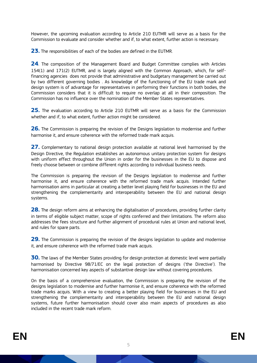However, the upcoming evaluation according to Article 210 EUTMR will serve as a basis for the Commission to evaluate and consider whether and if, to what extent, further action is necessary.

**23.** The responsibilities of each of the bodies are defined in the EUTMR.

**24**. The composition of the Management Board and Budget Committee complies with Articles 154(1) and 171(2) EUTMR, and is largely aligned with the Common Approach, which, for selffinancing agencies does not provide that administrative and budgetary management be carried out by two different governing bodies . As knowledge of the functioning of the EU trade mark and design system is of advantage for representatives in performing their functions in both bodies, the Commission considers that it is difficult to require no overlap at all in their composition. The Commission has no influence over the nomination of the Member States representatives.

**25.** The evaluation according to Article 210 EUTMR will serve as a basis for the Commission whether and if, to what extent, further action might be considered.

**26.** The Commission is preparing the revision of the Designs legislation to modernise and further harmonise it, and ensure coherence with the reformed trade mark acquis.

**27.** Complementary to national design protection available at national level harmonised by the Design Directive, the Regulation establishes an autonomous unitary protection system for designs with uniform effect throughout the Union in order for the businesses in the EU to dispose and freely choose between or combine different rights according to individual business needs.

The Commission is preparing the revision of the Designs legislation to modernise and further harmonise it, and ensure coherence with the reformed trade mark acquis. Intended further harmonisation aims in particular at creating a better level playing field for businesses in the EU and strengthening the complementarity and interoperability between the EU and national design systems.

**28.** The design reform aims at enhancing the digitalisation of procedures, providing further clarity in terms of eligible subject matter, scope of rights conferred and their limitations. The reform also addresses the fees structure and further alignment of procedural rules at Union and national level, and rules for spare parts.

**29.** The Commission is preparing the revision of the designs legislation to update and modernise it, and ensure coherence with the reformed trade mark acquis.

**30.** The laws of the Member States providing for design protection at domestic level were partially harmonised by Directive 98/71/EC on the legal protection of designs ('the Directive'). The harmonisation concerned key aspects of substantive design law without covering procedures.

On the basis of a comprehensive evaluation, the Commission is preparing the revision of the designs legislation to modernise and further harmonise it, and ensure coherence with the reformed trade marks acquis. With a view to creating a better playing field for businesses in the EU and strengthening the complementarity and interoperability between the EU and national design systems, future further harmonisation should cover also main aspects of procedures as also included in the recent trade mark reform.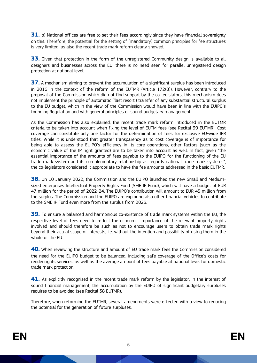**31.** b) National offices are free to set their fees accordingly since they have financial sovereignty on this. Therefore, the potential for the setting of (mandatory) common principles for fee structures is very limited, as also the recent trade mark reform clearly showed.

**33.** Given that protection in the form of the unregistered Community design is available to all designers and businesses across the EU, there is no need seen for parallel unregistered design protection at national level.

**37.** A mechanism aiming to prevent the accumulation of a significant surplus has been introduced in 2016 in the context of the reform of the EUTMR (Article 172(8)). However, contrary to the proposal of the Commission which did not find support by the co-legislators, this mechanism does not implement the principle of automatic ('last resort') transfer of any substantial structural surplus to the EU budget, which in the view of the Commission would have been in line with the EUIPO's founding Regulation and with general principles of sound budgetary management.

As the Commission has also explained, the recent trade mark reform introduced in the EUTMR criteria to be taken into account when fixing the level of EUTM fees (see Recital 39 EUTMR). Cost coverage can constitute only one factor for the determination of fees for exclusive EU-wide IPR titles. While it is understood that greater transparency as to cost coverage is of importance for being able to assess the EUIPO's efficiency in its core operations, other factors (such as the economic value of the IP right granted) are to be taken into account as well. In fact, given "the essential importance of the amounts of fees payable to the EUIPO for the functioning of the EU trade mark system and its complementary relationship as regards national trade mark systems", the co-legislators considered it appropriate to have the fee amounts addressed in the basic EUTMR.

**38.** On 10 January 2022, the Commission and the EUIPO launched the new Small and Mediumsized enterprises Intellectual Property Rights Fund (SME IP Fund), which will have a budget of EUR 47 million for the period of 2022-24. The EUIPO's contribution will amount to EUR 45 million from the surplus. The Commission and the EUIPO are exploring also other financial vehicles to contribute to the SME IP Fund even more from the surplus from 2023.

**39.** To ensure a balanced and harmonious co-existence of trade mark systems within the EU, the respective level of fees need to reflect the economic importance of the relevant property rights involved and should therefore be such as not to encourage users to obtain trade mark rights beyond their actual scope of interests, i.e. without the intention and possibility of using them in the whole of the EU

**40.** When reviewing the structure and amount of EU trade mark fees the Commission considered the need for the EUIPO budget to be balanced, including safe coverage of the Office's costs for rendering its services, as well as the average amount of fees payable at national level for domestic trade mark protection.

41. As explicitly recognised in the recent trade mark reform by the legislator, in the interest of sound financial management, the accumulation by the EUIPO of significant budgetary surpluses requires to be avoided (see Recital 38 EUTMR).

Therefore, when reforming the EUTMR, several amendments were effected with a view to reducing the potential for the generation of future surpluses.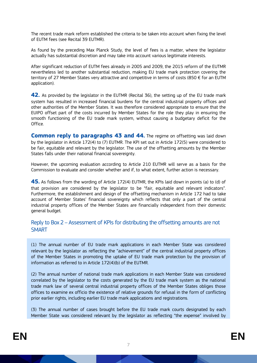The recent trade mark reform established the criteria to be taken into account when fixing the level of EUTM fees (see Recital 39 EUTMR).

As found by the preceding Max Planck Study, the level of fees is a matter, where the legislator actually has substantial discretion and may take into account various legitimate interests.

After significant reduction of EUTM fees already in 2005 and 2009, the 2015 reform of the EUTMR nevertheless led to another substantial reduction, making EU trade mark protection covering the territory of 27 Member States very attractive and competitive in terms of costs (850 € for an EUTM application).

**42.** As provided by the legislator in the EUTMR (Recital 36), the setting up of the EU trade mark system has resulted in increased financial burdens for the central industrial property offices and other authorities of the Member States. It was therefore considered appropriate to ensure that the EUIPO offset part of the costs incurred by Member States for the role they play in ensuring the smooth functioning of the EU trade mark system, without causing a budgetary deficit for the Office.

**Common reply to paragraphs 43 and 44.** The regime on offsetting was laid down by the legislator in Article 172(4) to (7) EUTMR. The KPI set out in Article 172(5) were considered to be fair, equitable and relevant by the legislator. The use of the offsetting amounts by the Member States falls under their national financial sovereignty.

However, the upcoming evaluation according to Article 210 EUTMR will serve as a basis for the Commission to evaluate and consider whether and if, to what extent, further action is necessary.

**45.** As follows from the wording of Article 172(4) EUTMR, the KPIs laid down in points (a) to (d) of that provision are considered by the legislator to be "fair, equitable and relevant indicators". Furthermore, the establishment and design of the offsetting mechanism in Article 172 had to take account of Member States' financial sovereignty which reflects that only a part of the central industrial property offices of the Member States are financially independent from their domestic general budget.

#### Reply to Box 2 – Assessment of KPIs for distributing the offsetting amounts are not **SMART**

(1) The annual number of EU trade mark applications in each Member State was considered relevant by the legislator as reflecting the "achievement" of the central industrial property offices of the Member States in promoting the uptake of EU trade mark protection by the provision of information as referred to in Article 172(4)(b) of the EUTMR.

(2) The annual number of national trade mark applications in each Member State was considered correlated by the legislator to the costs generated by the EU trade mark system as the national trade mark law of several central industrial property offices of the Member States obliges those offices to examine ex officio the existence of relative grounds for refusal in the form of conflicting prior earlier rights, including earlier EU trade mark applications and registrations.

(3) The annual number of cases brought before the EU trade mark courts designated by each Member State was considered relevant by the legislator as reflecting "the expense" involved by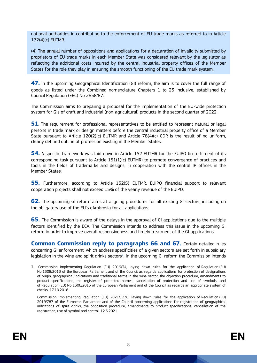national authorities in contributing to the enforcement of EU trade marks as referred to in Article 172(4)(c) EUTMR.

(4) The annual number of oppositions and applications for a declaration of invalidity submitted by proprietors of EU trade marks in each Member State was considered relevant by the legislator as reflecting the additional costs incurred by the central industrial property offices of the Member States for the role they play in ensuring the smooth functioning of the EU trade mark system.

**47.** In the upcoming Geographical Identification (GI) reform, the aim is to cover the full range of goods as listed under the Combined nomenclature Chapters 1 to 23 inclusive, established by Council [Regulation \(EEC\) No 2658/87.](https://eur-lex.europa.eu/legal-content/EN/TXT/?uri=CELEX:31987R2658)

The Commission aims to preparing a proposal for the implementation of the EU-wide protection system for GIs of craft and industrial (non-agricultural) products in the second quarter of 2022.

**51**. The requirement for professional representatives to be entitled to represent natural or legal persons in trade mark or design matters before the central industrial property office of a Member State pursuant to Article  $120(2)(c)$  EUTMR and Article 78(4)(c) CDR is the result of no uniform, clearly defined outline of profession existing in the Member States.

**54.** A specific framework was laid down in Article 152 EUTMR for the EUIPO (in fulfilment of its corresponding task pursuant to Article 151(1)(c) EUTMR) to promote convergence of practices and tools in the fields of trademarks and designs, in cooperation with the central IP offices in the Member States.

**55.** Furthermore, according to Article 152(5) EUTMR, EUIPO financial support to relevant cooperation projects shall not exceed 15% of the yearly revenue of the EUIPO.

**62.** The upcoming GI reform aims at aligning procedures for all existing GI sectors, including on the obligatory use of the EU's eAmbrosia for all applications.

**65.** The Commission is aware of the delays in the approval of GI applications due to the multiple factors identified by the ECA. The Commission intends to address this issue in the upcoming GI reform in order to improve overall responsiveness and timely treatment of the GI applications.

**Common Commission reply to paragraphs 66 and 67.** Certain detailed rules concerning GI enforcement, which address specificities of a given sectors are set forth in subsidiary  $legislation$  in the wine and spirit drinks sectors<sup>1</sup>. In the upcoming GI reform the Commission intends

-

<sup>1</sup> Commission Implementing Regulation (EU) 2019/34, laying down rules for the application of Regulation (EU) No 1308/2013 of the European Parliament and of the Council as regards applications for protection of designations of origin, geographical indications and traditional terms in the wine sector, the objection procedure, amendments to product specifications, the register of protected names, cancellation of protection and use of symbols, and of Regulation (EU) No 1306/2013 of the European Parliament and of the Council as regards an appropriate system of checks, 17.10.2018

Commission Implementing Regulation (EU) 2021/1236, laying down rules for the application of Regulation (EU) 2019/787 of the European Parliament and of the Council concerning applications for registration of geographical indications of spirit drinks, the opposition procedure, amendments to product specifications, cancellation of the registration, use of symbol and control, 12.5.2021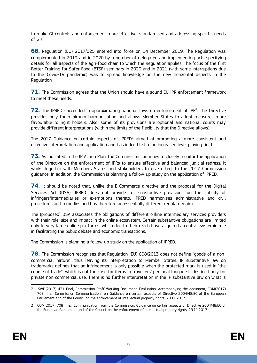to make GI controls and enforcement more effective, standardised and addressing specific needs of GIs.

**68.** Regulation (EU) 2017/625 entered into force on 14 December 2019. The Regulation was complemented in 2019 and in 2020 by a number of delegated and implementing acts specifying details for all aspects of the agri-food chain to which the Regulation applies. The focus of the first Better Training for Safer Food (BTSF) seminars in 2020 and in 2021 (with some interruptions due to the Covid-19 pandemic) was to spread knowledge on the new horizontal aspects in the Regulation.

**71.** The Commission agrees that the Union should have a sound EU IPR enforcement framework to meet these needs.

72. The IPRED succeeded in approximating national laws on enforcement of IPR<sup>2</sup>. The Directive provides only for minimum harmonisation and allows Member States to adopt measures more favourable to right holders. Also, some of its provisions are optional and national courts may provide different interpretations (within the limits of the flexibility that the Directive allows).

The 2017 Guidance on certain aspects of  $IRED<sup>3</sup>$  aimed at promoting a more consistent and effective interpretation and application and has indeed led to an increased level playing field.

**73.** As indicated in the IP Action Plan, the Commission continues to closely monitor the application of the Directive on the enforcement of IPRs to ensure effective and balanced judicial redress. It works together with Members States and stakeholders to give effect to the 2017 Commission guidance. In addition, the Commission is planning a follow-up study on the application of IPRED.

**74.** It should be noted that, unlike the E-Commerce directive and the proposal for the Digital Services Act (DSA), IPRED does not provide for substantive provisions on the liability of infringers/intermediaries or exemptions thereto. IPRED harmonises administrative and civil procedures and remedies and has therefore an essentially different regulatory aim.

The (proposed) DSA associates the obligations of different online intermediary services providers with their role, size and impact in the online ecosystem. Certain substantive obligations are limited only to very large online platforms, which due to their reach have acquired a central, systemic role in facilitating the public debate and economic transactions.

The Commission is planning a follow-up study on the application of IPRED.

**78.** The Commission recognises that Regulation (EU) 608/2013 does not define "goods of a noncommercial nature", thus leaving its interpretation to Member States. IP substantive law on trademarks defines that an infringement is only possible when the protected mark is used in "the course of trade", which is not the case for items in travellers' personal luggage if destined only for private non-commercial use. There is no further interpretation in the IP substantive law on what is

<sup>1</sup> 2 SWD(2017) 431 final, Commission Staff Working Document, Evaluation, Accompanying the document, COM(2017) 708 final, Commission Communication on Guidance on certain aspects of Directive 2004/48/EC of the European Parliament and of the Council on the enforcement of intellectual property rights, 29.11.2017

<sup>3</sup> COM(2017) 708 final, Communication from the Commission: Guidance on certain aspects of Directive 2004/48/EC of the European Parliament and of the Council on the enforcement of intellectual property rights, 29.11.2017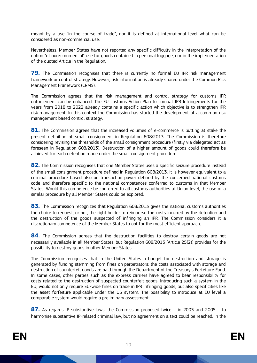meant by a use "in the course of trade", nor it is defined at international level what can be considered as non-commercial use.

Nevertheless, Member States have not reported any specific difficulty in the interpretation of the notion "of non-commercial" use for goods contained in personal luggage, nor in the implementation of the quoted Article in the Regulation.

**79.** The Commission recognises that there is currently no formal EU IPR risk management framework or control strategy. However, risk information is already shared under the Common Risk Management Framework (CRMS).

The Commission agrees that the risk management and control strategy for customs IPR enforcement can be enhanced. The EU customs Action Plan to combat IPR Infringements for the years from 2018 to 2022 already contains a specific action which objective is to strengthen IPR risk management. In this context the Commission has started the development of a common risk management based control strategy.

**81.** The Commission agrees that the increased volumes of e-commerce is putting at stake the present definition of small consignment in Regulation 608/2013. The Commission is therefore considering revising the thresholds of the small consignment procedure (firstly via delegated act as foreseen in Regulation 608/2013). Destruction of a higher amount of goods could therefore be achieved for each detention made under the small consignment procedure.

**82.** The Commission recognises that one Member States uses a specific seizure procedure instead of the small consignment procedure defined in Regulation 608/2013. It is however equivalent to a criminal procedure based also on transaction power defined by the concerned national customs code and therefore specific to the national competences conferred to customs in that Member States. Would this competence be conferred to all customs authorities at Union level, the use of a similar procedure by all Member States could be explored.

**83.** The Commission recognizes that Regulation 608/2013 gives the national customs authorities the choice to request, or not, the right holder to reimburse the costs incurred by the detention and the destruction of the goods suspected of infringing an IPR. The Commission considers it a discretionary competence of the Member States to opt for the most efficient approach.

**84.** The Commission agrees that the destruction facilities to destroy certain goods are not necessarily available in all Member States, but Regulation 608/2013 (Article 25(2)) provides for the possibility to destroy goods in other Member States.

The Commission recognises that in the United States a budget for destruction and storage is generated by funding stemming from fines on perpetrators: the costs associated with storage and destruction of counterfeit goods are paid through the Department of the Treasury's Forfeiture Fund. In some cases, other parties such as the express carriers have agreed to bear responsibility for costs related to the destruction of suspected counterfeit goods. Introducing such a system in the EU, would not only require EU-wide fines on trade in IPR infringing goods, but also specificities like the asset forfeiture applicable under the US system. The possibility to introduce at EU level a comparable system would require a preliminary assessment.

**87.** As regards IP substantive laws, the Commission proposed twice – in 2003 and 2005 – to harmonise substantive IP-related criminal law, but no agreement on a text could be reached. In the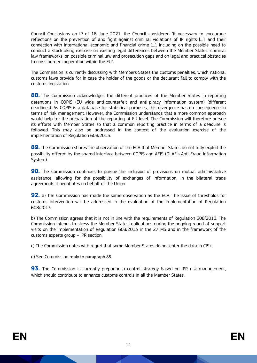Council Conclusions on IP of 18 June 2021, the Council considered "it necessary to encourage reflections on the prevention of and fight against criminal violations of IP rights […], and their connection with international economic and financial crime […], including on the possible need to conduct a stocktaking exercise on existing legal differences between the Member States' criminal law frameworks, on possible criminal law and prosecution gaps and on legal and practical obstacles to cross border cooperation within the EU".

The Commission is currently discussing with Members States the customs penalties, which national customs laws provide for in case the holder of the goods or the declarant fail to comply with the customs legislation.

**88.** The Commission acknowledges the different practices of the Member States in reporting detentions in COPIS (EU wide anti-counterfeit and anti-piracy information system) (different deadlines). As COPIS is a database for statistical purposes, this divergence has no consequence in terms of risk management. However, the Commission understands that a more common approach would help for the preparation of the reporting at EU level. The Commission will therefore pursue its efforts with Member States so that a common reporting practice in terms of a deadline is followed. This may also be addressed in the context of the evaluation exercise of the implementation of Regulation 608/2013.

**89.** The Commission shares the observation of the ECA that Member States do not fully exploit the possibility offered by the shared interface between COPIS and AFIS (OLAF's Anti-Fraud Information System).

**90.** The Commission continues to pursue the inclusion of provisions on mutual administrative assistance, allowing for the possibility of exchanges of information, in the bilateral trade agreements it negotiates on behalf of the Union.

**92.** a) The Commission has made the same observation as the ECA. The issue of thresholds for customs intervention will be addressed in the evaluation of the implementation of Regulation 608/2013.

b) The Commission agrees that it is not in line with the requirements of Regulation 608/2013. The Commission intends to stress the Member States' obligations during the ongoing round of support visits on the implementation of Regulation 608/2013 in the 27 MS and in the framework of the customs experts group – IPR section.

c) The Commission notes with regret that some Member States do not enter the data in CIS+.

d) See Commission reply to paragraph 88.

**93.** The Commission is currently preparing a control strategy based on IPR risk management, which should contribute to enhance customs controls in all the Member States.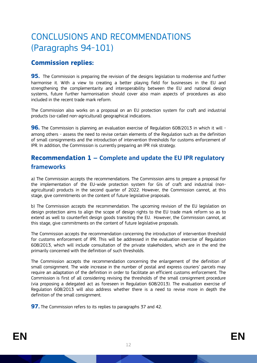# <span id="page-12-0"></span>CONCLUSIONS AND RECOMMENDATIONS (Paragraphs 94-101)

### **Commission replies:**

**95.** The Commission is preparing the revision of the designs legislation to modernise and further harmonise it. With a view to creating a better playing field for businesses in the EU and strengthening the complementarity and interoperability between the EU and national design systems, future further harmonisation should cover also main aspects of procedures as also included in the recent trade mark reform.

The Commission also works on a proposal on an EU protection system for craft and industrial products (so-called non-agricultural) geographical indications.

**96.** The Commission is planning an evaluation exercise of Regulation 608/2013 in which it will among others - assess the need to revise certain elements of the Regulation such as the definition of small consignments and the introduction of intervention thresholds for customs enforcement of IPR. In addition, the Commission is currently preparing an IPR risk strategy.

### <span id="page-12-1"></span>**Recommendation 1 – Complete and update the EU IPR regulatory frameworks**

a) The Commission accepts the recommendations. The Commission aims to prepare a proposal for the implementation of the EU-wide protection system for GIs of craft and industrial (nonagricultural) products in the second quarter of 2022. However, the Commission cannot, at this stage, give commitments on the content of future legislative proposals.

b) The Commission accepts the recommendation. The upcoming revision of the EU legislation on design protection aims to align the scope of design rights to the EU trade mark reform so as to extend as well to counterfeit design goods transiting the EU. However, the Commission cannot, at this stage, give commitments on the content of future legislative proposals.

The Commission accepts the recommendation concerning the introduction of intervention threshold for customs enforcement of IPR. This will be addressed in the evaluation exercise of Regulation 608/2013, which will include consultation of the private stakeholders, which are in the end the primarily concerned with the definition of such thresholds.

The Commission accepts the recommendation concerning the enlargement of the definition of small consignment. The wide increase in the number of postal and express couriers' parcels may require an adaptation of the definition in order to facilitate an efficient customs enforcement. The Commission is first of all considering revising the thresholds of the small consignment procedure (via proposing a delegated act as foreseen in Regulation 608/2013). The evaluation exercise of Regulation 608/2013 will also address whether there is a need to revise more in depth the definition of the small consignment.

**97.** The Commission refers to its replies to paragraphs 37 and 42.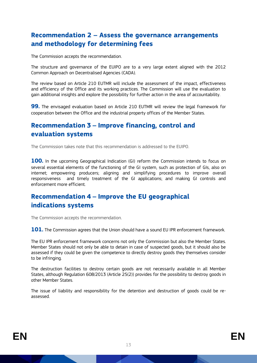### <span id="page-13-0"></span>**Recommendation 2 – Assess the governance arrangements and methodology for determining fees**

The Commission accepts the recommendation.

The structure and governance of the EUIPO are to a very large extent aligned with the 2012 Common Approach on Decentralised Agencies (CADA).

The review based on Article 210 EUTMR will include the assessment of the impact, effectiveness and efficiency of the Office and its working practices. The Commission will use the evaluation to gain additional insights and explore the possibility for further action in the area of accountability.

**99.** The envisaged evaluation based on Article 210 EUTMR will review the legal framework for cooperation between the Office and the industrial property offices of the Member States.

### <span id="page-13-1"></span>**Recommendation 3 – Improve financing, control and evaluation systems**

The Commission takes note that this recommendation is addressed to the EUIPO.

**100.** In the upcoming Geographical Indication (GI) reform the Commission intends to focus on several essential elements of the functioning of the GI system, such as protection of GIs, also on internet; empowering producers; aligning and simplifying procedures to improve overall responsiveness and timely treatment of the GI applications; and making GI controls and enforcement more efficient.

### <span id="page-13-2"></span>**Recommendation 4 – Improve the EU geographical indications systems**

The Commission accepts the recommendation.

**101.** The Commission agrees that the Union should have a sound EU IPR enforcement framework.

The EU IPR enforcement framework concerns not only the Commission but also the Member States. Member States should not only be able to detain in case of suspected goods, but it should also be assessed if they could be given the competence to directly destroy goods they themselves consider to be infringing.

The destruction facilities to destroy certain goods are not necessarily available in all Member States, although Regulation 608/2013 (Article 25(2)) provides for the possibility to destroy goods in other Member States.

The issue of liability and responsibility for the detention and destruction of goods could be reassessed.